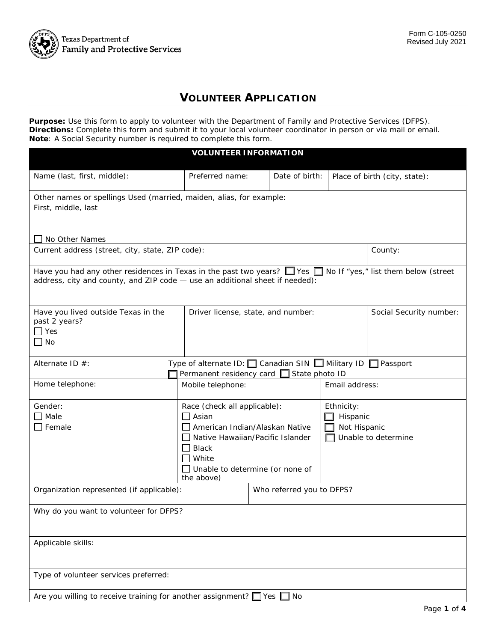

## **VOLUNTEER APPLICATION**

 **Purpose:** Use this form to apply to volunteer with the Department of Family and Protective Services (DFPS). **Directions:** Complete this form and submit it to your local volunteer coordinator in person or via mail or email. **Note**: A Social Security number is required to complete this form.

| <b>VOLUNTEER INFORMATION</b>                                                                                                                                                                             |                                                                                                                                                             |                                    |                                                                           |                               |                         |  |
|----------------------------------------------------------------------------------------------------------------------------------------------------------------------------------------------------------|-------------------------------------------------------------------------------------------------------------------------------------------------------------|------------------------------------|---------------------------------------------------------------------------|-------------------------------|-------------------------|--|
| Name (last, first, middle):                                                                                                                                                                              |                                                                                                                                                             | Preferred name:                    | Date of birth:                                                            | Place of birth (city, state): |                         |  |
| Other names or spellings Used (married, maiden, alias, for example:<br>First, middle, last                                                                                                               |                                                                                                                                                             |                                    |                                                                           |                               |                         |  |
| No Other Names                                                                                                                                                                                           |                                                                                                                                                             |                                    |                                                                           |                               |                         |  |
| Current address (street, city, state, ZIP code):                                                                                                                                                         |                                                                                                                                                             |                                    |                                                                           | County:                       |                         |  |
| Have you had any other residences in Texas in the past two years? $\Box$ Yes $\Box$ No If "yes," list them below (street<br>address, city and county, and ZIP code - use an additional sheet if needed): |                                                                                                                                                             |                                    |                                                                           |                               |                         |  |
| Have you lived outside Texas in the<br>past 2 years?<br>Yes<br>No                                                                                                                                        |                                                                                                                                                             | Driver license, state, and number: |                                                                           |                               | Social Security number: |  |
| Type of alternate ID: $\Box$ Canadian SIN $\Box$ Military ID $\Box$ Passport<br>Alternate ID $#$ :<br>Permanent residency card □ State photo ID                                                          |                                                                                                                                                             |                                    |                                                                           |                               |                         |  |
| Home telephone:                                                                                                                                                                                          |                                                                                                                                                             | Mobile telephone:                  | Email address:                                                            |                               |                         |  |
| Gender:<br>Male<br>Female                                                                                                                                                                                | Race (check all applicable):<br>$\Box$ Asian<br>American Indian/Alaskan Native<br>□ Native Hawaiian/Pacific Islander<br>$\Box$ Black<br>White<br>the above) |                                    | Ethnicity:<br>Hispanic<br>Not Hispanic<br>Unable to determine (or none of |                               | Unable to determine     |  |
| Organization represented (if applicable):                                                                                                                                                                |                                                                                                                                                             |                                    | Who referred you to DFPS?                                                 |                               |                         |  |
| Why do you want to volunteer for DFPS?                                                                                                                                                                   |                                                                                                                                                             |                                    |                                                                           |                               |                         |  |
| Applicable skills:                                                                                                                                                                                       |                                                                                                                                                             |                                    |                                                                           |                               |                         |  |
| Type of volunteer services preferred:                                                                                                                                                                    |                                                                                                                                                             |                                    |                                                                           |                               |                         |  |
| Are you willing to receive training for another assignment? $\Box$ Yes $\Box$ No                                                                                                                         |                                                                                                                                                             |                                    |                                                                           |                               |                         |  |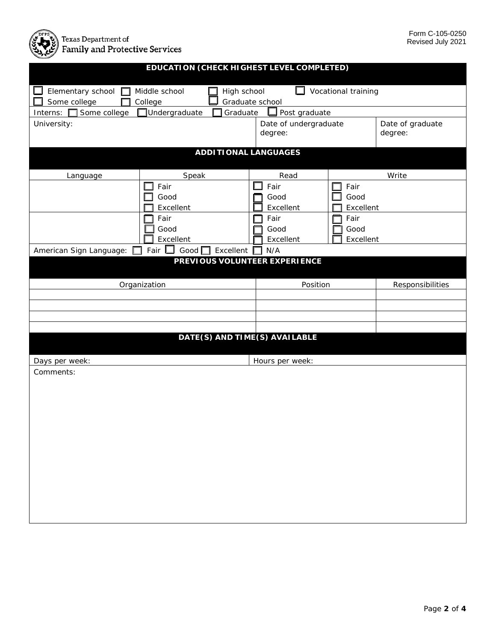

| EDUCATION (CHECK HIGHEST LEVEL COMPLETED)                                                                                   |                                               |                                  |                           |                             |  |  |
|-----------------------------------------------------------------------------------------------------------------------------|-----------------------------------------------|----------------------------------|---------------------------|-----------------------------|--|--|
| Vocational training<br>Elementary school<br>Middle school<br>High school<br>ப<br>Some college<br>Graduate school<br>College |                                               |                                  |                           |                             |  |  |
| Some college<br>Interns:                                                                                                    | Undergraduate<br>Graduate                     | Post graduate                    |                           |                             |  |  |
| University:                                                                                                                 |                                               | Date of undergraduate<br>degree: |                           | Date of graduate<br>degree: |  |  |
|                                                                                                                             | <b>ADDITIONAL LANGUAGES</b>                   |                                  |                           |                             |  |  |
| Language                                                                                                                    | Speak                                         | Read                             |                           | Write                       |  |  |
|                                                                                                                             | Fair<br>Good<br>Excellent                     | Fair<br>Good<br>Excellent        | Fair<br>Good<br>Excellent |                             |  |  |
|                                                                                                                             | Fair<br>Good<br>Excellent                     | Fair<br>Good<br>Excellent        | Fair<br>Good<br>Excellent |                             |  |  |
| American Sign Language:                                                                                                     | Fair $\square$<br>Good $\square$<br>Excellent | N/A                              |                           |                             |  |  |
| PREVIOUS VOLUNTEER EXPERIENCE                                                                                               |                                               |                                  |                           |                             |  |  |
|                                                                                                                             | Organization                                  | Position                         |                           | Responsibilities            |  |  |
|                                                                                                                             |                                               |                                  |                           |                             |  |  |
|                                                                                                                             |                                               |                                  |                           |                             |  |  |
|                                                                                                                             |                                               |                                  |                           |                             |  |  |
|                                                                                                                             | DATE(S) AND TIME(S) AVAILABLE                 |                                  |                           |                             |  |  |
|                                                                                                                             |                                               |                                  |                           |                             |  |  |
| Days per week:                                                                                                              |                                               | Hours per week:                  |                           |                             |  |  |
| Comments:                                                                                                                   |                                               |                                  |                           |                             |  |  |
|                                                                                                                             |                                               |                                  |                           |                             |  |  |
|                                                                                                                             |                                               |                                  |                           |                             |  |  |
|                                                                                                                             |                                               |                                  |                           |                             |  |  |
|                                                                                                                             |                                               |                                  |                           |                             |  |  |
|                                                                                                                             |                                               |                                  |                           |                             |  |  |
|                                                                                                                             |                                               |                                  |                           |                             |  |  |
|                                                                                                                             |                                               |                                  |                           |                             |  |  |
|                                                                                                                             |                                               |                                  |                           |                             |  |  |
|                                                                                                                             |                                               |                                  |                           |                             |  |  |
|                                                                                                                             |                                               |                                  |                           |                             |  |  |
|                                                                                                                             |                                               |                                  |                           |                             |  |  |
|                                                                                                                             |                                               |                                  |                           |                             |  |  |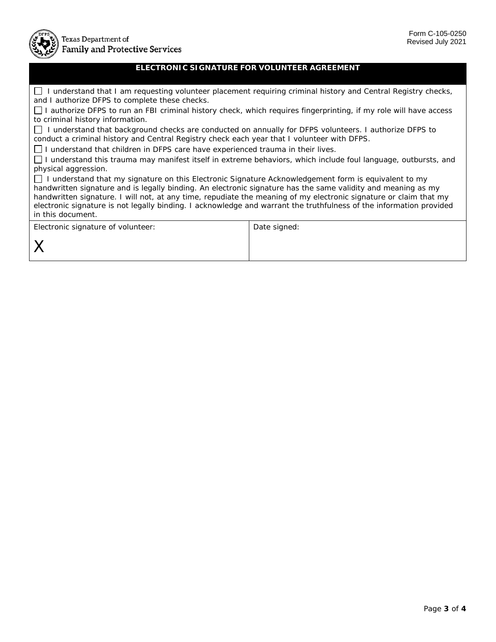

## **ELECTRONIC SIGNATURE FOR VOLUNTEER AGREEMENT**

 I understand that I am requesting volunteer placement requiring criminal history and Central Registry checks, and I authorize DFPS to complete these checks.

 I authorize DFPS to run an FBI criminal history check, which requires fingerprinting, if my role will have access to criminal history information.

 I understand that background checks are conducted on annually for DFPS volunteers. I authorize DFPS to conduct a criminal history and Central Registry check each year that I volunteer with DFPS.

I understand that children in DFPS care have experienced trauma in their lives.

 I understand this trauma may manifest itself in extreme behaviors, which include foul language, outbursts, and physical aggression.

 I understand that my signature on this Electronic Signature Acknowledgement form is equivalent to my handwritten signature and is legally binding. An electronic signature has the same validity and meaning as my handwritten signature. I will not, at any time, repudiate the meaning of my electronic signature or claim that my electronic signature is not legally binding. I acknowledge and warrant the truthfulness of the information provided in this document.

| Electronic signature of volunteer: | Date signed: |
|------------------------------------|--------------|
|                                    |              |